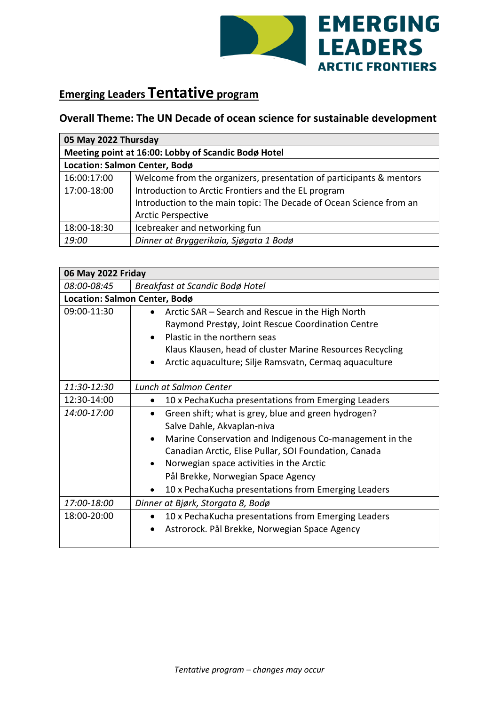

## **Emerging Leaders Tentative program**

## **Overall Theme: The UN Decade of ocean science for sustainable development**

| 05 May 2022 Thursday                                |                                                                     |
|-----------------------------------------------------|---------------------------------------------------------------------|
| Meeting point at 16:00: Lobby of Scandic Bodø Hotel |                                                                     |
| Location: Salmon Center, Bodø                       |                                                                     |
| 16:00:17:00                                         | Welcome from the organizers, presentation of participants & mentors |
| 17:00-18:00                                         | Introduction to Arctic Frontiers and the EL program                 |
|                                                     | Introduction to the main topic: The Decade of Ocean Science from an |
|                                                     | <b>Arctic Perspective</b>                                           |
| 18:00-18:30                                         | Icebreaker and networking fun                                       |
| 19:00                                               | Dinner at Bryggerikaia, Sjøgata 1 Bodø                              |

| 06 May 2022 Friday            |                                                                                                                                                                                                                                                                                                                                                                          |
|-------------------------------|--------------------------------------------------------------------------------------------------------------------------------------------------------------------------------------------------------------------------------------------------------------------------------------------------------------------------------------------------------------------------|
| 08:00-08:45                   | Breakfast at Scandic Bodø Hotel                                                                                                                                                                                                                                                                                                                                          |
| Location: Salmon Center, Bodø |                                                                                                                                                                                                                                                                                                                                                                          |
| 09:00-11:30                   | Arctic SAR - Search and Rescue in the High North<br>$\bullet$<br>Raymond Prestøy, Joint Rescue Coordination Centre<br>Plastic in the northern seas<br>Klaus Klausen, head of cluster Marine Resources Recycling<br>Arctic aquaculture; Silje Ramsvatn, Cermaq aquaculture                                                                                                |
| 11:30-12:30                   | Lunch at Salmon Center                                                                                                                                                                                                                                                                                                                                                   |
| 12:30-14:00                   | 10 x PechaKucha presentations from Emerging Leaders<br>$\bullet$                                                                                                                                                                                                                                                                                                         |
| 14:00-17:00                   | Green shift; what is grey, blue and green hydrogen?<br>Salve Dahle, Akvaplan-niva<br>Marine Conservation and Indigenous Co-management in the<br>$\bullet$<br>Canadian Arctic, Elise Pullar, SOI Foundation, Canada<br>Norwegian space activities in the Arctic<br>$\bullet$<br>Pål Brekke, Norwegian Space Agency<br>10 x PechaKucha presentations from Emerging Leaders |
| 17:00-18:00                   | Dinner at Bjørk, Storgata 8, Bodø                                                                                                                                                                                                                                                                                                                                        |
| 18:00-20:00                   | 10 x PechaKucha presentations from Emerging Leaders<br>$\bullet$<br>Astrorock. Pål Brekke, Norwegian Space Agency<br>$\bullet$                                                                                                                                                                                                                                           |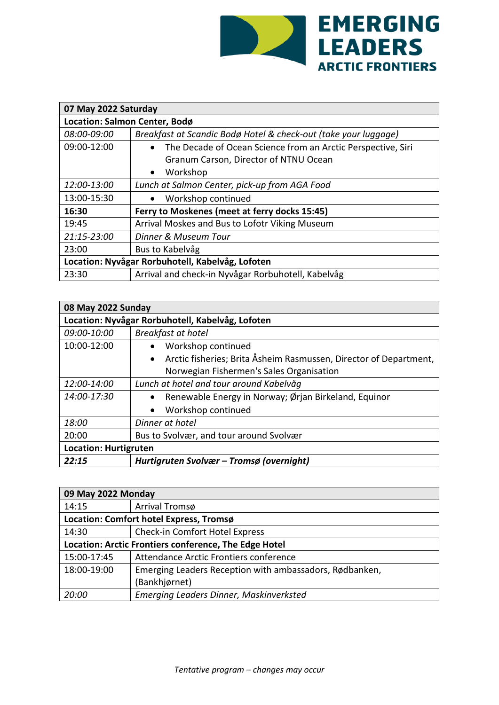

| 07 May 2022 Saturday                             |                                                                           |
|--------------------------------------------------|---------------------------------------------------------------------------|
| Location: Salmon Center, Bodø                    |                                                                           |
| 08:00-09:00                                      | Breakfast at Scandic Bodø Hotel & check-out (take your luggage)           |
| 09:00-12:00                                      | The Decade of Ocean Science from an Arctic Perspective, Siri<br>$\bullet$ |
|                                                  | Granum Carson, Director of NTNU Ocean                                     |
|                                                  | Workshop<br>$\bullet$                                                     |
| 12:00-13:00                                      | Lunch at Salmon Center, pick-up from AGA Food                             |
| 13:00-15:30                                      | Workshop continued<br>$\bullet$                                           |
| 16:30                                            | Ferry to Moskenes (meet at ferry docks 15:45)                             |
| 19:45                                            | Arrival Moskes and Bus to Lofotr Viking Museum                            |
| 21:15-23:00                                      | Dinner & Museum Tour                                                      |
| 23:00                                            | Bus to Kabelvåg                                                           |
| Location: Nyvågar Rorbuhotell, Kabelvåg, Lofoten |                                                                           |
| 23:30                                            | Arrival and check-in Nyvågar Rorbuhotell, Kabelvåg                        |

| 08 May 2022 Sunday                               |                                                                                |
|--------------------------------------------------|--------------------------------------------------------------------------------|
| Location: Nyvågar Rorbuhotell, Kabelvåg, Lofoten |                                                                                |
| 09:00-10:00                                      | Breakfast at hotel                                                             |
| 10:00-12:00                                      | Workshop continued<br>$\bullet$                                                |
|                                                  | Arctic fisheries; Brita Åsheim Rasmussen, Director of Department,<br>$\bullet$ |
|                                                  | Norwegian Fishermen's Sales Organisation                                       |
| 12:00-14:00                                      | Lunch at hotel and tour around Kabelvåg                                        |
| 14:00-17:30                                      | Renewable Energy in Norway; Ørjan Birkeland, Equinor<br>$\bullet$              |
|                                                  | Workshop continued<br>$\bullet$                                                |
| 18:00                                            | Dinner at hotel                                                                |
| 20:00                                            | Bus to Svolvær, and tour around Svolvær                                        |
| <b>Location: Hurtigruten</b>                     |                                                                                |
| 22:15                                            | Hurtigruten Svolvær – Tromsø (overnight)                                       |

| 09 May 2022 Monday                                    |                                                         |
|-------------------------------------------------------|---------------------------------------------------------|
| 14:15                                                 | Arrival Tromsø                                          |
| Location: Comfort hotel Express, Tromsø               |                                                         |
| 14:30                                                 | Check-in Comfort Hotel Express                          |
| Location: Arctic Frontiers conference, The Edge Hotel |                                                         |
| 15:00-17:45                                           | Attendance Arctic Frontiers conference                  |
| 18:00-19:00                                           | Emerging Leaders Reception with ambassadors, Rødbanken, |
|                                                       | (Bankhjørnet)                                           |
| 20:00                                                 | Emerging Leaders Dinner, Maskinverksted                 |